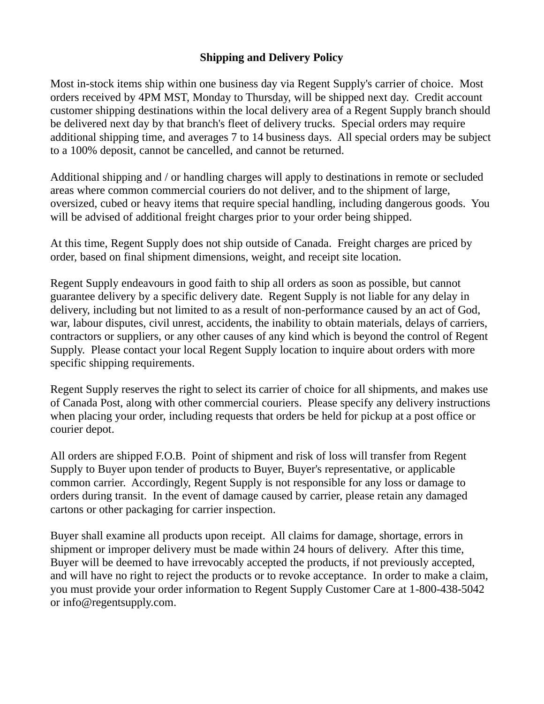## **Shipping and Delivery Policy**

Most in-stock items ship within one business day via Regent Supply's carrier of choice. Most orders received by 4PM MST, Monday to Thursday, will be shipped next day. Credit account customer shipping destinations within the local delivery area of a Regent Supply branch should be delivered next day by that branch's fleet of delivery trucks. Special orders may require additional shipping time, and averages 7 to 14 business days. All special orders may be subject to a 100% deposit, cannot be cancelled, and cannot be returned.

Additional shipping and / or handling charges will apply to destinations in remote or secluded areas where common commercial couriers do not deliver, and to the shipment of large, oversized, cubed or heavy items that require special handling, including dangerous goods. You will be advised of additional freight charges prior to your order being shipped.

At this time, Regent Supply does not ship outside of Canada. Freight charges are priced by order, based on final shipment dimensions, weight, and receipt site location.

Regent Supply endeavours in good faith to ship all orders as soon as possible, but cannot guarantee delivery by a specific delivery date. Regent Supply is not liable for any delay in delivery, including but not limited to as a result of non-performance caused by an act of God, war, labour disputes, civil unrest, accidents, the inability to obtain materials, delays of carriers, contractors or suppliers, or any other causes of any kind which is beyond the control of Regent Supply. Please contact your local Regent Supply location to inquire about orders with more specific shipping requirements.

Regent Supply reserves the right to select its carrier of choice for all shipments, and makes use of Canada Post, along with other commercial couriers. Please specify any delivery instructions when placing your order, including requests that orders be held for pickup at a post office or courier depot.

All orders are shipped F.O.B. Point of shipment and risk of loss will transfer from Regent Supply to Buyer upon tender of products to Buyer, Buyer's representative, or applicable common carrier. Accordingly, Regent Supply is not responsible for any loss or damage to orders during transit. In the event of damage caused by carrier, please retain any damaged cartons or other packaging for carrier inspection.

Buyer shall examine all products upon receipt. All claims for damage, shortage, errors in shipment or improper delivery must be made within 24 hours of delivery. After this time, Buyer will be deemed to have irrevocably accepted the products, if not previously accepted, and will have no right to reject the products or to revoke acceptance. In order to make a claim, you must provide your order information to Regent Supply Customer Care at 1-800-438-5042 or [info@regentsupply.com.](mailto:info@regentsupply.com)